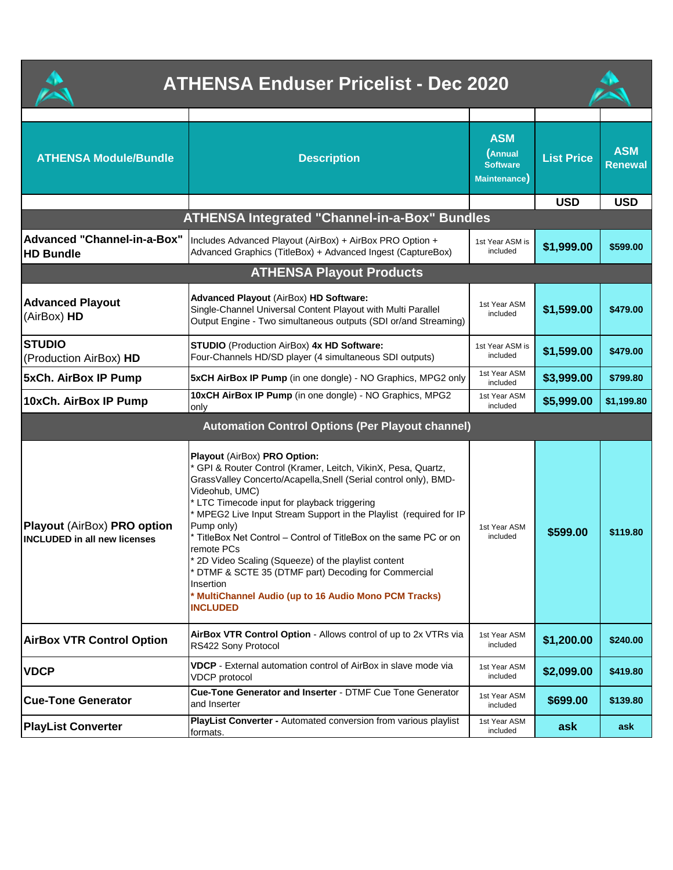| <b>ATHENSA Enduser Pricelist - Dec 2020</b>                               |                                                                                                                                                                                                                                                                                                                                                                                                                                                                                                                                                                                                                   |                                                                  |                   |                              |  |
|---------------------------------------------------------------------------|-------------------------------------------------------------------------------------------------------------------------------------------------------------------------------------------------------------------------------------------------------------------------------------------------------------------------------------------------------------------------------------------------------------------------------------------------------------------------------------------------------------------------------------------------------------------------------------------------------------------|------------------------------------------------------------------|-------------------|------------------------------|--|
| <b>ATHENSA Module/Bundle</b>                                              | <b>Description</b>                                                                                                                                                                                                                                                                                                                                                                                                                                                                                                                                                                                                | <b>ASM</b><br>(Annual<br><b>Software</b><br><b>Maintenance</b> ) | <b>List Price</b> | <b>ASM</b><br><b>Renewal</b> |  |
|                                                                           |                                                                                                                                                                                                                                                                                                                                                                                                                                                                                                                                                                                                                   |                                                                  | <b>USD</b>        | <b>USD</b>                   |  |
|                                                                           | <b>ATHENSA Integrated "Channel-in-a-Box" Bundles</b>                                                                                                                                                                                                                                                                                                                                                                                                                                                                                                                                                              |                                                                  |                   |                              |  |
| Advanced "Channel-in-a-Box"<br><b>HD Bundle</b>                           | Includes Advanced Playout (AirBox) + AirBox PRO Option +<br>Advanced Graphics (TitleBox) + Advanced Ingest (CaptureBox)                                                                                                                                                                                                                                                                                                                                                                                                                                                                                           | 1st Year ASM is<br>included                                      | \$1,999.00        | \$599.00                     |  |
|                                                                           | <b>ATHENSA Playout Products</b>                                                                                                                                                                                                                                                                                                                                                                                                                                                                                                                                                                                   |                                                                  |                   |                              |  |
| <b>Advanced Playout</b><br>(AirBox) HD                                    | Advanced Playout (AirBox) HD Software:<br>Single-Channel Universal Content Playout with Multi Parallel<br>Output Engine - Two simultaneous outputs (SDI or/and Streaming)                                                                                                                                                                                                                                                                                                                                                                                                                                         | 1st Year ASM<br>included                                         | \$1,599.00        | \$479.00                     |  |
| <b>STUDIO</b><br>(Production AirBox) HD                                   | STUDIO (Production AirBox) 4x HD Software:<br>Four-Channels HD/SD player (4 simultaneous SDI outputs)                                                                                                                                                                                                                                                                                                                                                                                                                                                                                                             | 1st Year ASM is<br>included                                      | \$1,599.00        | \$479.00                     |  |
| <b>5xCh. AirBox IP Pump</b>                                               | <b>5xCH AirBox IP Pump</b> (in one dongle) - NO Graphics, MPG2 only                                                                                                                                                                                                                                                                                                                                                                                                                                                                                                                                               | 1st Year ASM<br>included                                         | \$3,999.00        | \$799.80                     |  |
| 10xCh. AirBox IP Pump                                                     | 10xCH AirBox IP Pump (in one dongle) - NO Graphics, MPG2<br>only                                                                                                                                                                                                                                                                                                                                                                                                                                                                                                                                                  | 1st Year ASM<br>included                                         | \$5,999.00        | \$1,199.80                   |  |
| <b>Automation Control Options (Per Playout channel)</b>                   |                                                                                                                                                                                                                                                                                                                                                                                                                                                                                                                                                                                                                   |                                                                  |                   |                              |  |
| <b>Playout (AirBox) PRO option</b><br><b>INCLUDED</b> in all new licenses | Playout (AirBox) PRO Option:<br>* GPI & Router Control (Kramer, Leitch, VikinX, Pesa, Quartz,<br>GrassValley Concerto/Acapella, Snell (Serial control only), BMD-<br>Videohub, UMC)<br>* LTC Timecode input for playback triggering<br>* MPEG2 Live Input Stream Support in the Playlist (required for IP<br>Pump only)<br>* TitleBox Net Control - Control of TitleBox on the same PC or on<br>remote PCs<br>* 2D Video Scaling (Squeeze) of the playlist content<br>DTMF & SCTE 35 (DTMF part) Decoding for Commercial<br>Insertion<br>* MultiChannel Audio (up to 16 Audio Mono PCM Tracks)<br><b>INCLUDED</b> | 1st Year ASM<br>included                                         | \$599.00          | \$119.80                     |  |
| <b>AirBox VTR Control Option</b>                                          | <b>AirBox VTR Control Option - Allows control of up to 2x VTRs via</b><br>RS422 Sony Protocol                                                                                                                                                                                                                                                                                                                                                                                                                                                                                                                     | 1st Year ASM<br>included                                         | \$1,200.00        | \$240.00                     |  |
| <b>VDCP</b>                                                               | VDCP - External automation control of AirBox in slave mode via<br><b>VDCP</b> protocol                                                                                                                                                                                                                                                                                                                                                                                                                                                                                                                            | 1st Year ASM<br>included                                         | \$2,099.00        | \$419.80                     |  |
| <b>Cue-Tone Generator</b>                                                 | Cue-Tone Generator and Inserter - DTMF Cue Tone Generator<br>and Inserter                                                                                                                                                                                                                                                                                                                                                                                                                                                                                                                                         | 1st Year ASM<br>included                                         | \$699.00          | \$139.80                     |  |
| <b>PlayList Converter</b>                                                 | PlayList Converter - Automated conversion from various playlist<br>formats.                                                                                                                                                                                                                                                                                                                                                                                                                                                                                                                                       | 1st Year ASM<br>included                                         | ask               | ask                          |  |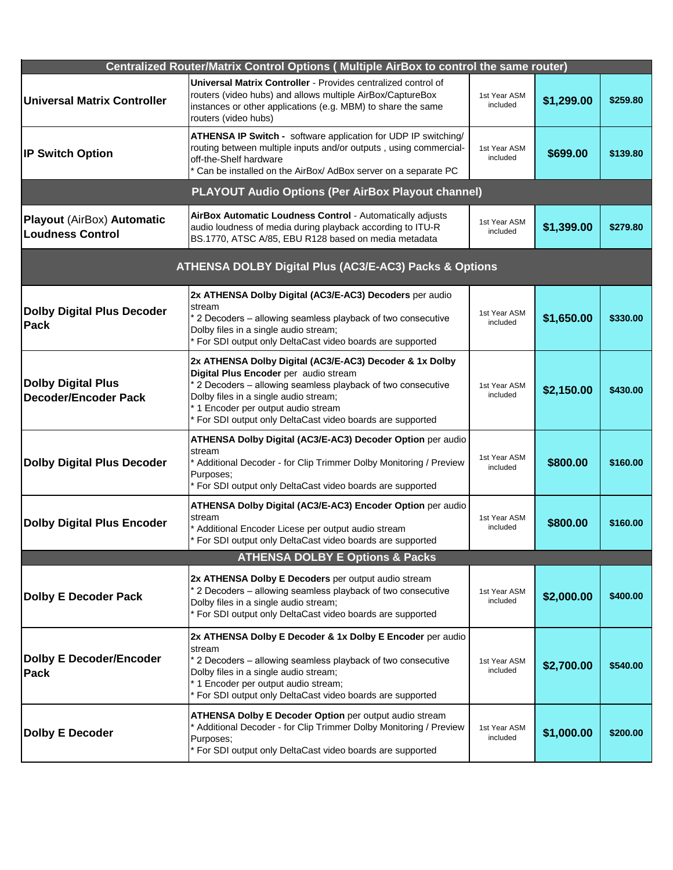|                                                              | Centralized Router/Matrix Control Options ( Multiple AirBox to control the same router)                                                                                                                                                                                                                        |                          |            |          |  |  |
|--------------------------------------------------------------|----------------------------------------------------------------------------------------------------------------------------------------------------------------------------------------------------------------------------------------------------------------------------------------------------------------|--------------------------|------------|----------|--|--|
| <b>Universal Matrix Controller</b>                           | Universal Matrix Controller - Provides centralized control of<br>routers (video hubs) and allows multiple AirBox/CaptureBox<br>instances or other applications (e.g. MBM) to share the same<br>routers (video hubs)                                                                                            | 1st Year ASM<br>included | \$1,299.00 | \$259.80 |  |  |
| <b>IP Switch Option</b>                                      | ATHENSA IP Switch - software application for UDP IP switching/<br>routing between multiple inputs and/or outputs, using commercial-<br>off-the-Shelf hardware<br>Can be installed on the AirBox/ AdBox server on a separate PC                                                                                 | 1st Year ASM<br>included | \$699.00   | \$139.80 |  |  |
|                                                              | <b>PLAYOUT Audio Options (Per AirBox Playout channel)</b>                                                                                                                                                                                                                                                      |                          |            |          |  |  |
| <b>Playout (AirBox) Automatic</b><br><b>Loudness Control</b> | AirBox Automatic Loudness Control - Automatically adjusts<br>audio loudness of media during playback according to ITU-R<br>BS.1770, ATSC A/85, EBU R128 based on media metadata                                                                                                                                | 1st Year ASM<br>included | \$1,399.00 | \$279.80 |  |  |
|                                                              | ATHENSA DOLBY Digital Plus (AC3/E-AC3) Packs & Options                                                                                                                                                                                                                                                         |                          |            |          |  |  |
| <b>Dolby Digital Plus Decoder</b><br>Pack                    | 2x ATHENSA Dolby Digital (AC3/E-AC3) Decoders per audio<br>stream<br>* 2 Decoders - allowing seamless playback of two consecutive<br>Dolby files in a single audio stream;<br>* For SDI output only DeltaCast video boards are supported                                                                       | 1st Year ASM<br>included | \$1,650.00 | \$330.00 |  |  |
| <b>Dolby Digital Plus</b><br>Decoder/Encoder Pack            | 2x ATHENSA Dolby Digital (AC3/E-AC3) Decoder & 1x Dolby<br>Digital Plus Encoder per audio stream<br>* 2 Decoders - allowing seamless playback of two consecutive<br>Dolby files in a single audio stream;<br>* 1 Encoder per output audio stream<br>* For SDI output only DeltaCast video boards are supported | 1st Year ASM<br>included | \$2,150.00 | \$430.00 |  |  |
| <b>Dolby Digital Plus Decoder</b>                            | <b>ATHENSA Dolby Digital (AC3/E-AC3) Decoder Option per audio</b><br>stream<br>* Additional Decoder - for Clip Trimmer Dolby Monitoring / Preview<br>Purposes;<br>* For SDI output only DeltaCast video boards are supported                                                                                   | 1st Year ASM<br>included | \$800.00   | \$160.00 |  |  |
| <b>Dolby Digital Plus Encoder</b>                            | ATHENSA Dolby Digital (AC3/E-AC3) Encoder Option per audio<br>stream<br>* Additional Encoder Licese per output audio stream<br>* For SDI output only DeltaCast video boards are supported                                                                                                                      | 1st Year ASM<br>included | \$800.00   | \$160.00 |  |  |
|                                                              | <b>ATHENSA DOLBY E Options &amp; Packs</b>                                                                                                                                                                                                                                                                     |                          |            |          |  |  |
| <b>Dolby E Decoder Pack</b>                                  | 2x ATHENSA Dolby E Decoders per output audio stream<br>* 2 Decoders - allowing seamless playback of two consecutive<br>Dolby files in a single audio stream;<br>* For SDI output only DeltaCast video boards are supported                                                                                     | 1st Year ASM<br>included | \$2,000.00 | \$400.00 |  |  |
| <b>Dolby E Decoder/Encoder</b><br><b>Pack</b>                | 2x ATHENSA Dolby E Decoder & 1x Dolby E Encoder per audio<br>stream<br>* 2 Decoders - allowing seamless playback of two consecutive<br>Dolby files in a single audio stream;<br>* 1 Encoder per output audio stream;<br>* For SDI output only DeltaCast video boards are supported                             | 1st Year ASM<br>included | \$2,700.00 | \$540.00 |  |  |
| <b>Dolby E Decoder</b>                                       | ATHENSA Dolby E Decoder Option per output audio stream<br>* Additional Decoder - for Clip Trimmer Dolby Monitoring / Preview<br>Purposes;<br>* For SDI output only DeltaCast video boards are supported                                                                                                        | 1st Year ASM<br>included | \$1,000.00 | \$200.00 |  |  |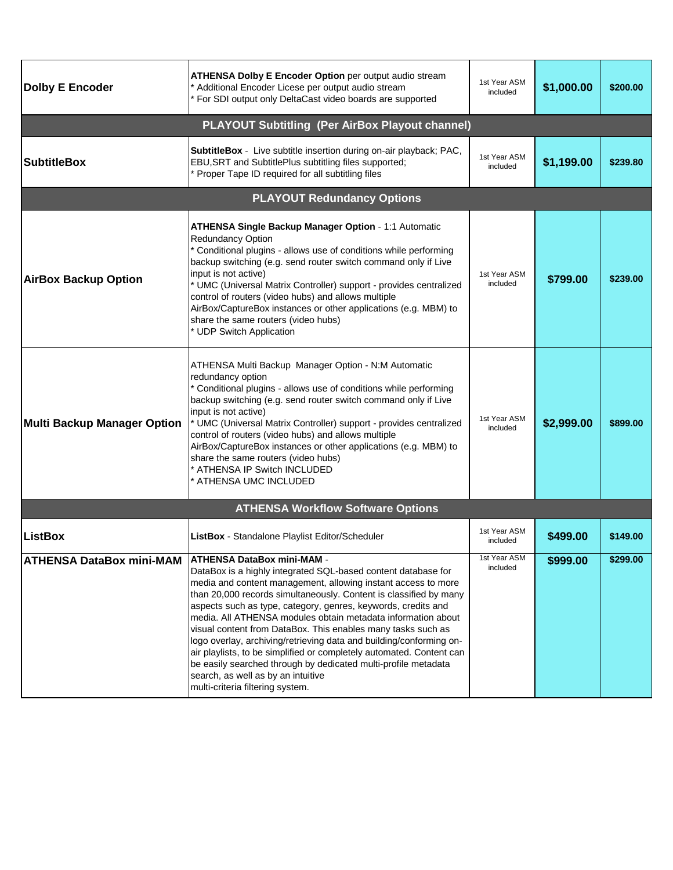| <b>Dolby E Encoder</b>          | <b>ATHENSA Dolby E Encoder Option per output audio stream</b><br>Additional Encoder Licese per output audio stream<br>For SDI output only DeltaCast video boards are supported                                                                                                                                                                                                                                                                                                                                                                                                                                                                                                                                                       | 1st Year ASM<br>included | \$1,000.00 | \$200.00 |
|---------------------------------|--------------------------------------------------------------------------------------------------------------------------------------------------------------------------------------------------------------------------------------------------------------------------------------------------------------------------------------------------------------------------------------------------------------------------------------------------------------------------------------------------------------------------------------------------------------------------------------------------------------------------------------------------------------------------------------------------------------------------------------|--------------------------|------------|----------|
|                                 | <b>PLAYOUT Subtitling (Per AirBox Playout channel)</b>                                                                                                                                                                                                                                                                                                                                                                                                                                                                                                                                                                                                                                                                               |                          |            |          |
| <b>SubtitleBox</b>              | SubtitleBox - Live subtitle insertion during on-air playback; PAC,<br>EBU, SRT and SubtitlePlus subtitling files supported;<br>* Proper Tape ID required for all subtitling files                                                                                                                                                                                                                                                                                                                                                                                                                                                                                                                                                    | 1st Year ASM<br>included | \$1,199.00 | \$239.80 |
|                                 | <b>PLAYOUT Redundancy Options</b>                                                                                                                                                                                                                                                                                                                                                                                                                                                                                                                                                                                                                                                                                                    |                          |            |          |
| <b>AirBox Backup Option</b>     | ATHENSA Single Backup Manager Option - 1:1 Automatic<br><b>Redundancy Option</b><br>* Conditional plugins - allows use of conditions while performing<br>backup switching (e.g. send router switch command only if Live<br>input is not active)<br>* UMC (Universal Matrix Controller) support - provides centralized<br>control of routers (video hubs) and allows multiple<br>AirBox/CaptureBox instances or other applications (e.g. MBM) to<br>share the same routers (video hubs)<br>* UDP Switch Application                                                                                                                                                                                                                   | 1st Year ASM<br>included | \$799.00   | \$239.00 |
| Multi Backup Manager Option     | ATHENSA Multi Backup Manager Option - N:M Automatic<br>redundancy option<br>* Conditional plugins - allows use of conditions while performing<br>backup switching (e.g. send router switch command only if Live<br>input is not active)<br>* UMC (Universal Matrix Controller) support - provides centralized<br>control of routers (video hubs) and allows multiple<br>AirBox/CaptureBox instances or other applications (e.g. MBM) to<br>share the same routers (video hubs)<br>* ATHENSA IP Switch INCLUDED<br>ATHENSA UMC INCLUDED                                                                                                                                                                                               | 1st Year ASM<br>included | \$2,999.00 | \$899.00 |
|                                 | <b>ATHENSA Workflow Software Options</b>                                                                                                                                                                                                                                                                                                                                                                                                                                                                                                                                                                                                                                                                                             |                          |            |          |
| <b>ListBox</b>                  | ListBox - Standalone Playlist Editor/Scheduler                                                                                                                                                                                                                                                                                                                                                                                                                                                                                                                                                                                                                                                                                       | 1st Year ASM<br>included | \$499.00   | \$149.00 |
| <b>ATHENSA DataBox mini-MAM</b> | <b>ATHENSA DataBox mini-MAM -</b><br>DataBox is a highly integrated SQL-based content database for<br>media and content management, allowing instant access to more<br>than 20,000 records simultaneously. Content is classified by many<br>aspects such as type, category, genres, keywords, credits and<br>media. All ATHENSA modules obtain metadata information about<br>visual content from DataBox. This enables many tasks such as<br>logo overlay, archiving/retrieving data and building/conforming on-<br>air playlists, to be simplified or completely automated. Content can<br>be easily searched through by dedicated multi-profile metadata<br>search, as well as by an intuitive<br>multi-criteria filtering system. | 1st Year ASM<br>included | \$999.00   | \$299.00 |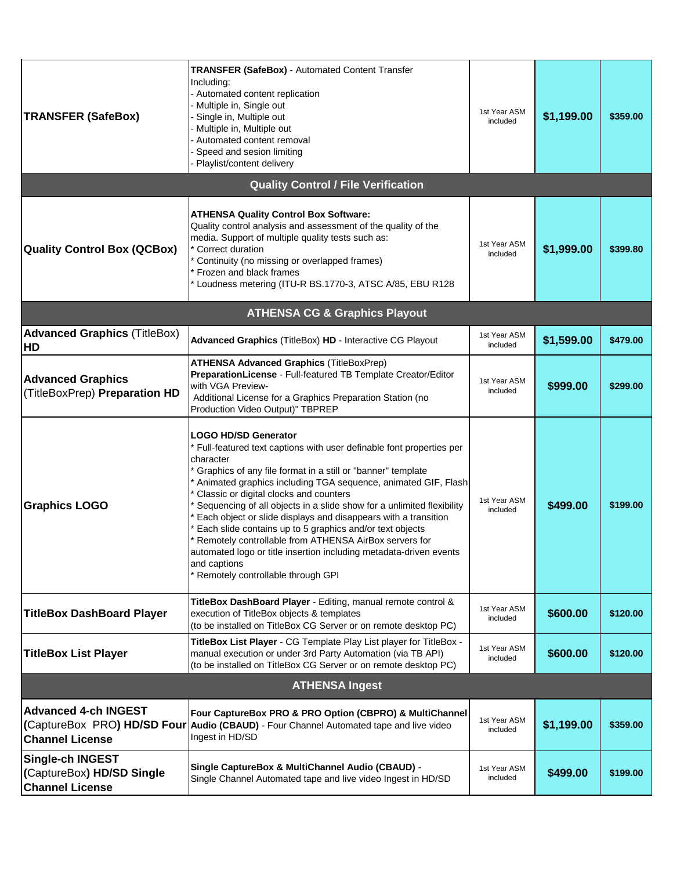| <b>TRANSFER (SafeBox)</b>                                                      | <b>TRANSFER (SafeBox) - Automated Content Transfer</b><br>Including:<br>Automated content replication<br>Multiple in, Single out<br>Single in, Multiple out<br>Multiple in, Multiple out<br>Automated content removal<br>Speed and sesion limiting<br>Playlist/content delivery                                                                                                                                                                                                                                                                                                                                                                                               | 1st Year ASM<br>included | \$1,199.00 | \$359.00 |
|--------------------------------------------------------------------------------|-------------------------------------------------------------------------------------------------------------------------------------------------------------------------------------------------------------------------------------------------------------------------------------------------------------------------------------------------------------------------------------------------------------------------------------------------------------------------------------------------------------------------------------------------------------------------------------------------------------------------------------------------------------------------------|--------------------------|------------|----------|
|                                                                                | <b>Quality Control / File Verification</b>                                                                                                                                                                                                                                                                                                                                                                                                                                                                                                                                                                                                                                    |                          |            |          |
| <b>Quality Control Box (QCBox)</b>                                             | <b>ATHENSA Quality Control Box Software:</b><br>Quality control analysis and assessment of the quality of the<br>media. Support of multiple quality tests such as:<br>Correct duration<br>Continuity (no missing or overlapped frames)<br>Frozen and black frames<br>Loudness metering (ITU-R BS.1770-3, ATSC A/85, EBU R128                                                                                                                                                                                                                                                                                                                                                  | 1st Year ASM<br>included | \$1,999.00 | \$399.80 |
|                                                                                | <b>ATHENSA CG &amp; Graphics Playout</b>                                                                                                                                                                                                                                                                                                                                                                                                                                                                                                                                                                                                                                      |                          |            |          |
| <b>Advanced Graphics (TitleBox)</b><br>HD                                      | Advanced Graphics (TitleBox) HD - Interactive CG Playout                                                                                                                                                                                                                                                                                                                                                                                                                                                                                                                                                                                                                      | 1st Year ASM<br>included | \$1,599.00 | \$479.00 |
| <b>Advanced Graphics</b><br>(TitleBoxPrep) Preparation HD                      | <b>ATHENSA Advanced Graphics (TitleBoxPrep)</b><br>PreparationLicense - Full-featured TB Template Creator/Editor<br>with VGA Preview-<br>Additional License for a Graphics Preparation Station (no<br>Production Video Output)" TBPREP                                                                                                                                                                                                                                                                                                                                                                                                                                        | 1st Year ASM<br>included | \$999.00   | \$299.00 |
| <b>Graphics LOGO</b>                                                           | LOGO HD/SD Generator<br>Full-featured text captions with user definable font properties per<br>character<br>Graphics of any file format in a still or "banner" template<br>Animated graphics including TGA sequence, animated GIF, Flash<br>Classic or digital clocks and counters<br>Sequencing of all objects in a slide show for a unlimited flexibility<br>Each object or slide displays and disappears with a transition<br>Each slide contains up to 5 graphics and/or text objects<br>Remotely controllable from ATHENSA AirBox servers for<br>automated logo or title insertion including metadata-driven events<br>and captions<br>Remotely controllable through GPI | 1st Year ASM<br>included | \$499.00   | \$199.00 |
| <b>TitleBox DashBoard Player</b>                                               | TitleBox DashBoard Player - Editing, manual remote control &<br>execution of TitleBox objects & templates<br>(to be installed on TitleBox CG Server or on remote desktop PC)                                                                                                                                                                                                                                                                                                                                                                                                                                                                                                  | 1st Year ASM<br>included | \$600.00   | \$120.00 |
| <b>TitleBox List Player</b>                                                    | TitleBox List Player - CG Template Play List player for TitleBox -<br>manual execution or under 3rd Party Automation (via TB API)<br>(to be installed on TitleBox CG Server or on remote desktop PC)                                                                                                                                                                                                                                                                                                                                                                                                                                                                          | 1st Year ASM<br>included | \$600.00   | \$120.00 |
| <b>ATHENSA Ingest</b>                                                          |                                                                                                                                                                                                                                                                                                                                                                                                                                                                                                                                                                                                                                                                               |                          |            |          |
| <b>Advanced 4-ch INGEST</b><br><b>Channel License</b>                          | Four CaptureBox PRO & PRO Option (CBPRO) & MultiChannel<br>(CaptureBox PRO) HD/SD Four Audio (CBAUD) - Four Channel Automated tape and live video<br>Ingest in HD/SD                                                                                                                                                                                                                                                                                                                                                                                                                                                                                                          | 1st Year ASM<br>included | \$1,199.00 | \$359.00 |
| <b>Single-ch INGEST</b><br>(CaptureBox) HD/SD Single<br><b>Channel License</b> | Single CaptureBox & MultiChannel Audio (CBAUD) -<br>Single Channel Automated tape and live video Ingest in HD/SD                                                                                                                                                                                                                                                                                                                                                                                                                                                                                                                                                              | 1st Year ASM<br>included | \$499.00   | \$199.00 |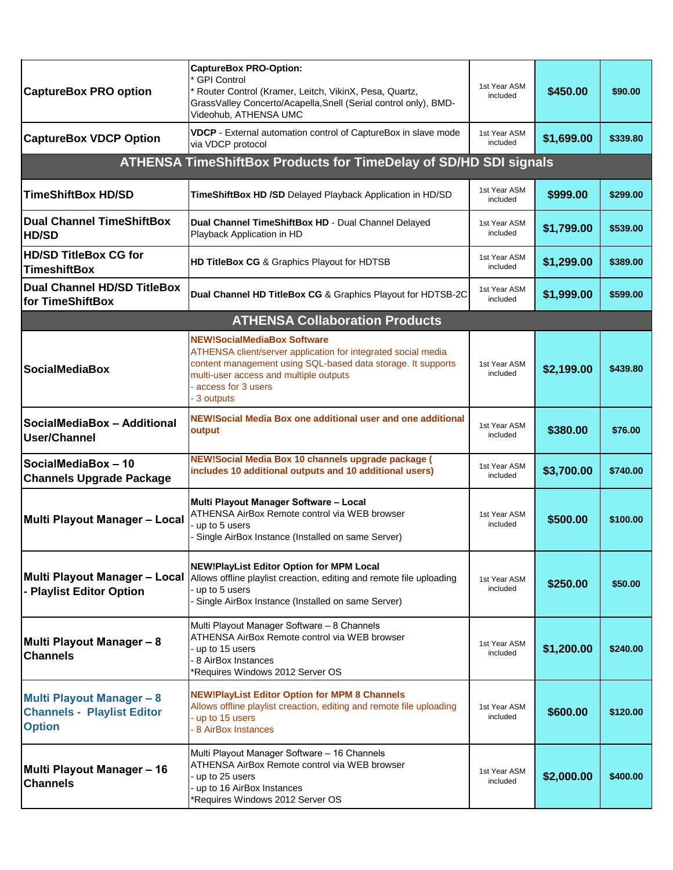| <b>CaptureBox PRO option</b>                                                           | <b>CaptureBox PRO-Option:</b><br>* GPI Control<br>Router Control (Kramer, Leitch, VikinX, Pesa, Quartz,<br>GrassValley Concerto/Acapella, Snell (Serial control only), BMD-<br>Videohub, ATHENSA UMC                                               | 1st Year ASM<br>included | \$450.00   | \$90.00  |
|----------------------------------------------------------------------------------------|----------------------------------------------------------------------------------------------------------------------------------------------------------------------------------------------------------------------------------------------------|--------------------------|------------|----------|
| <b>CaptureBox VDCP Option</b>                                                          | VDCP - External automation control of CaptureBox in slave mode<br>via VDCP protocol                                                                                                                                                                | 1st Year ASM<br>included | \$1,699.00 | \$339.80 |
|                                                                                        | ATHENSA TimeShiftBox Products for TimeDelay of SD/HD SDI signals                                                                                                                                                                                   |                          |            |          |
| <b>TimeShiftBox HD/SD</b>                                                              | TimeShiftBox HD /SD Delayed Playback Application in HD/SD                                                                                                                                                                                          | 1st Year ASM<br>included | \$999.00   | \$299.00 |
| <b>Dual Channel TimeShiftBox</b><br><b>HD/SD</b>                                       | Dual Channel TimeShiftBox HD - Dual Channel Delayed<br>Playback Application in HD                                                                                                                                                                  | 1st Year ASM<br>included | \$1,799.00 | \$539.00 |
| <b>HD/SD TitleBox CG for</b><br><b>TimeshiftBox</b>                                    | HD TitleBox CG & Graphics Playout for HDTSB                                                                                                                                                                                                        | 1st Year ASM<br>included | \$1,299.00 | \$389.00 |
| <b>Dual Channel HD/SD TitleBox</b><br>for TimeShiftBox                                 | Dual Channel HD TitleBox CG & Graphics Playout for HDTSB-2C                                                                                                                                                                                        | 1st Year ASM<br>included | \$1,999.00 | \$599.00 |
|                                                                                        | <b>ATHENSA Collaboration Products</b>                                                                                                                                                                                                              |                          |            |          |
| <b>SocialMediaBox</b>                                                                  | <b>NEW!SocialMediaBox Software</b><br>ATHENSA client/server application for integrated social media<br>content management using SQL-based data storage. It supports<br>multi-user access and multiple outputs<br>access for 3 users<br>- 3 outputs | 1st Year ASM<br>included | \$2,199.00 | \$439.80 |
| SocialMediaBox - Additional<br>User/Channel                                            | NEW!Social Media Box one additional user and one additional<br>output                                                                                                                                                                              | 1st Year ASM<br>included | \$380.00   | \$76.00  |
| SocialMediaBox - 10<br><b>Channels Upgrade Package</b>                                 | NEW!Social Media Box 10 channels upgrade package (<br>includes 10 additional outputs and 10 additional users)                                                                                                                                      | 1st Year ASM<br>included | \$3,700.00 | \$740.00 |
| Multi Playout Manager - Local                                                          | Multi Playout Manager Software - Local<br>ATHENSA AirBox Remote control via WEB browser<br>- up to 5 users<br>- Single AirBox Instance (Installed on same Server)                                                                                  | 1st Year ASM<br>included | \$500.00   | \$100.00 |
| Multi Playout Manager - Local<br>- Playlist Editor Option                              | <b>NEW!PlayList Editor Option for MPM Local</b><br>Allows offline playlist creaction, editing and remote file uploading<br>- up to 5 users<br>- Single AirBox Instance (Installed on same Server)                                                  | 1st Year ASM<br>included | \$250.00   | \$50.00  |
| Multi Playout Manager - 8<br><b>Channels</b>                                           | Multi Playout Manager Software - 8 Channels<br>ATHENSA AirBox Remote control via WEB browser<br>- up to 15 users<br>- 8 AirBox Instances<br>*Requires Windows 2012 Server OS                                                                       | 1st Year ASM<br>included | \$1,200.00 | \$240.00 |
| <b>Multi Playout Manager - 8</b><br><b>Channels - Playlist Editor</b><br><b>Option</b> | <b>NEW!PlayList Editor Option for MPM 8 Channels</b><br>Allows offline playlist creaction, editing and remote file uploading<br>- up to 15 users<br>- 8 AirBox Instances                                                                           | 1st Year ASM<br>included | \$600.00   | \$120.00 |
| Multi Playout Manager - 16<br><b>Channels</b>                                          | Multi Playout Manager Software - 16 Channels<br>ATHENSA AirBox Remote control via WEB browser<br>- up to 25 users<br>- up to 16 AirBox Instances<br>Requires Windows 2012 Server OS                                                                | 1st Year ASM<br>included | \$2,000.00 | \$400.00 |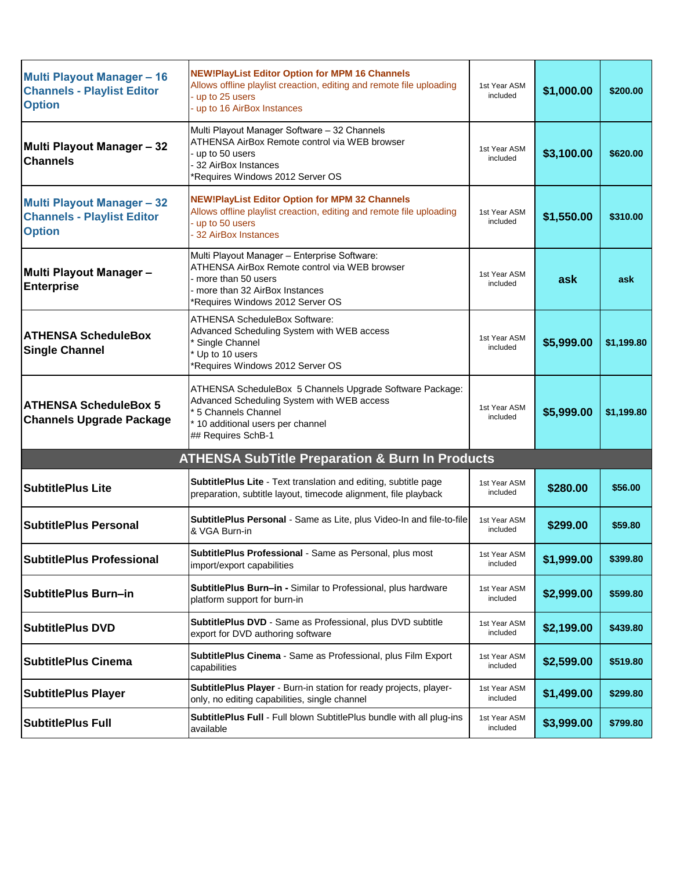| <b>Multi Playout Manager - 16</b><br><b>Channels - Playlist Editor</b><br><b>Option</b> | <b>NEW!PlayList Editor Option for MPM 16 Channels</b><br>Allows offline playlist creaction, editing and remote file uploading<br>up to 25 users<br>up to 16 AirBox Instances              | 1st Year ASM<br>included | \$1,000.00 | \$200.00   |
|-----------------------------------------------------------------------------------------|-------------------------------------------------------------------------------------------------------------------------------------------------------------------------------------------|--------------------------|------------|------------|
| Multi Playout Manager - 32<br><b>Channels</b>                                           | Multi Playout Manager Software - 32 Channels<br>ATHENSA AirBox Remote control via WEB browser<br>up to 50 users<br>32 AirBox Instances<br>*Requires Windows 2012 Server OS                | 1st Year ASM<br>included | \$3,100.00 | \$620.00   |
| <b>Multi Playout Manager - 32</b><br><b>Channels - Playlist Editor</b><br><b>Option</b> | <b>NEW!PlayList Editor Option for MPM 32 Channels</b><br>Allows offline playlist creaction, editing and remote file uploading<br>- up to 50 users<br>32 AirBox Instances                  | 1st Year ASM<br>included | \$1,550.00 | \$310.00   |
| Multi Playout Manager -<br><b>Enterprise</b>                                            | Multi Playout Manager - Enterprise Software:<br>ATHENSA AirBox Remote control via WEB browser<br>more than 50 users<br>more than 32 AirBox Instances<br>*Requires Windows 2012 Server OS  | 1st Year ASM<br>included | ask        | ask        |
| <b>ATHENSA ScheduleBox</b><br><b>Single Channel</b>                                     | <b>ATHENSA ScheduleBox Software:</b><br>Advanced Scheduling System with WEB access<br>Single Channel<br>* Up to 10 users<br>*Requires Windows 2012 Server OS                              | 1st Year ASM<br>included | \$5,999.00 | \$1,199.80 |
| <b>ATHENSA ScheduleBox 5</b><br><b>Channels Upgrade Package</b>                         | ATHENSA ScheduleBox 5 Channels Upgrade Software Package:<br>Advanced Scheduling System with WEB access<br>* 5 Channels Channel<br>* 10 additional users per channel<br>## Requires SchB-1 | 1st Year ASM<br>included | \$5,999.00 | \$1,199.80 |
|                                                                                         | <b>ATHENSA SubTitle Preparation &amp; Burn In Products</b>                                                                                                                                |                          |            |            |
| <b>SubtitlePlus Lite</b>                                                                | SubtitlePlus Lite - Text translation and editing, subtitle page<br>preparation, subtitle layout, timecode alignment, file playback                                                        | 1st Year ASM<br>included | \$280.00   | \$56.00    |
| <b>SubtitlePlus Personal</b>                                                            | SubtitlePlus Personal - Same as Lite, plus Video-In and file-to-file<br>& VGA Burn-in                                                                                                     | 1st Year ASM<br>included | \$299.00   | \$59.80    |
| <b>SubtitlePlus Professional</b>                                                        | SubtitlePlus Professional - Same as Personal, plus most<br>import/export capabilities                                                                                                     | 1st Year ASM<br>included | \$1,999.00 | \$399.80   |
| SubtitlePlus Burn-in                                                                    | <b>SubtitlePlus Burn-in - Similar to Professional, plus hardware</b><br>platform support for burn-in                                                                                      | 1st Year ASM<br>included | \$2,999.00 | \$599.80   |
| <b>SubtitlePlus DVD</b>                                                                 | SubtitlePlus DVD - Same as Professional, plus DVD subtitle<br>export for DVD authoring software                                                                                           | 1st Year ASM<br>included | \$2,199.00 | \$439.80   |
| <b>SubtitlePlus Cinema</b>                                                              | SubtitlePlus Cinema - Same as Professional, plus Film Export<br>capabilities                                                                                                              | 1st Year ASM<br>included | \$2,599.00 | \$519.80   |
| <b>SubtitlePlus Player</b>                                                              | SubtitlePlus Player - Burn-in station for ready projects, player-<br>only, no editing capabilities, single channel                                                                        | 1st Year ASM<br>included | \$1,499.00 | \$299.80   |
| <b>SubtitlePlus Full</b>                                                                | SubtitlePlus Full - Full blown SubtitlePlus bundle with all plug-ins<br>available                                                                                                         | 1st Year ASM<br>included | \$3,999.00 | \$799.80   |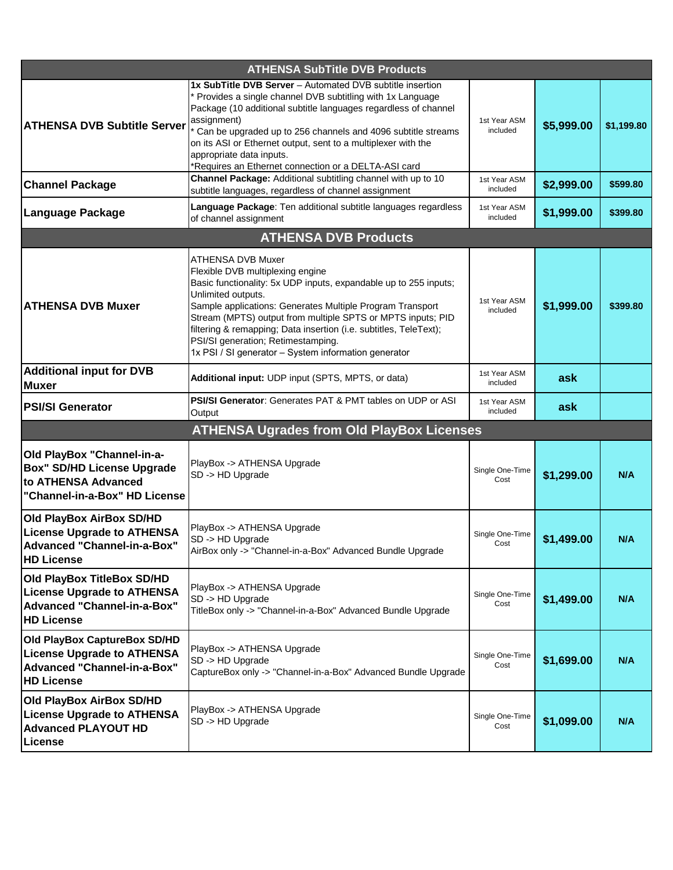| <b>ATHENSA SubTitle DVB Products</b>                                                                                         |                                                                                                                                                                                                                                                                                                                                                                                                                                                |                          |            |            |
|------------------------------------------------------------------------------------------------------------------------------|------------------------------------------------------------------------------------------------------------------------------------------------------------------------------------------------------------------------------------------------------------------------------------------------------------------------------------------------------------------------------------------------------------------------------------------------|--------------------------|------------|------------|
| <b>ATHENSA DVB Subtitle Server</b>                                                                                           | 1x SubTitle DVB Server - Automated DVB subtitle insertion<br>Provides a single channel DVB subtitling with 1x Language<br>Package (10 additional subtitle languages regardless of channel<br>assignment)<br>Can be upgraded up to 256 channels and 4096 subtitle streams<br>on its ASI or Ethernet output, sent to a multiplexer with the<br>appropriate data inputs.<br>*Requires an Ethernet connection or a DELTA-ASI card                  | 1st Year ASM<br>included | \$5,999.00 | \$1,199.80 |
| <b>Channel Package</b>                                                                                                       | Channel Package: Additional subtitling channel with up to 10<br>subtitle languages, regardless of channel assignment                                                                                                                                                                                                                                                                                                                           | 1st Year ASM<br>included | \$2,999.00 | \$599.80   |
| Language Package                                                                                                             | Language Package: Ten additional subtitle languages regardless<br>of channel assignment                                                                                                                                                                                                                                                                                                                                                        | 1st Year ASM<br>included | \$1,999.00 | \$399.80   |
|                                                                                                                              | <b>ATHENSA DVB Products</b>                                                                                                                                                                                                                                                                                                                                                                                                                    |                          |            |            |
| <b>ATHENSA DVB Muxer</b>                                                                                                     | ATHENSA DVB Muxer<br>Flexible DVB multiplexing engine<br>Basic functionality: 5x UDP inputs, expandable up to 255 inputs;<br>Unlimited outputs.<br>Sample applications: Generates Multiple Program Transport<br>Stream (MPTS) output from multiple SPTS or MPTS inputs; PID<br>filtering & remapping; Data insertion (i.e. subtitles, TeleText);<br>PSI/SI generation; Retimestamping.<br>1x PSI / SI generator - System information generator | 1st Year ASM<br>included | \$1,999.00 | \$399.80   |
| <b>Additional input for DVB</b><br><b>Muxer</b>                                                                              | Additional input: UDP input (SPTS, MPTS, or data)                                                                                                                                                                                                                                                                                                                                                                                              | 1st Year ASM<br>included | ask        |            |
| <b>PSI/SI Generator</b>                                                                                                      | <b>PSI/SI Generator:</b> Generates PAT & PMT tables on UDP or ASI<br>Output                                                                                                                                                                                                                                                                                                                                                                    | 1st Year ASM<br>included | ask        |            |
|                                                                                                                              | <b>ATHENSA Ugrades from Old PlayBox Licenses</b>                                                                                                                                                                                                                                                                                                                                                                                               |                          |            |            |
| Old PlayBox "Channel-in-a-<br><b>Box" SD/HD License Upgrade</b><br>to ATHENSA Advanced<br>"Channel-in-a-Box" HD License      | PlayBox -> ATHENSA Upgrade<br>SD -> HD Upgrade                                                                                                                                                                                                                                                                                                                                                                                                 | Single One-Time<br>Cost  | \$1,299.00 | N/A        |
| Old PlayBox AirBox SD/HD<br><b>License Upgrade to ATHENSA</b><br>Advanced "Channel-in-a-Box"<br><b>HD License</b>            | PlayBox -> ATHENSA Upgrade<br>SD -> HD Upgrade<br>AirBox only -> "Channel-in-a-Box" Advanced Bundle Upgrade                                                                                                                                                                                                                                                                                                                                    | Single One-Time<br>Cost  | \$1,499.00 | N/A        |
| Old PlayBox TitleBox SD/HD<br><b>License Upgrade to ATHENSA</b><br><b>Advanced "Channel-in-a-Box"</b><br><b>HD License</b>   | PlayBox -> ATHENSA Upgrade<br>SD -> HD Upgrade<br>TitleBox only -> "Channel-in-a-Box" Advanced Bundle Upgrade                                                                                                                                                                                                                                                                                                                                  | Single One-Time<br>Cost  | \$1,499.00 | N/A        |
| Old PlayBox CaptureBox SD/HD<br><b>License Upgrade to ATHENSA</b><br><b>Advanced "Channel-in-a-Box"</b><br><b>HD License</b> | PlayBox -> ATHENSA Upgrade<br>SD -> HD Upgrade<br>CaptureBox only -> "Channel-in-a-Box" Advanced Bundle Upgrade                                                                                                                                                                                                                                                                                                                                | Single One-Time<br>Cost  | \$1,699.00 | N/A        |
| Old PlayBox AirBox SD/HD<br><b>License Upgrade to ATHENSA</b><br><b>Advanced PLAYOUT HD</b><br>License                       | PlayBox -> ATHENSA Upgrade<br>SD -> HD Upgrade                                                                                                                                                                                                                                                                                                                                                                                                 | Single One-Time<br>Cost  | \$1,099.00 | N/A        |